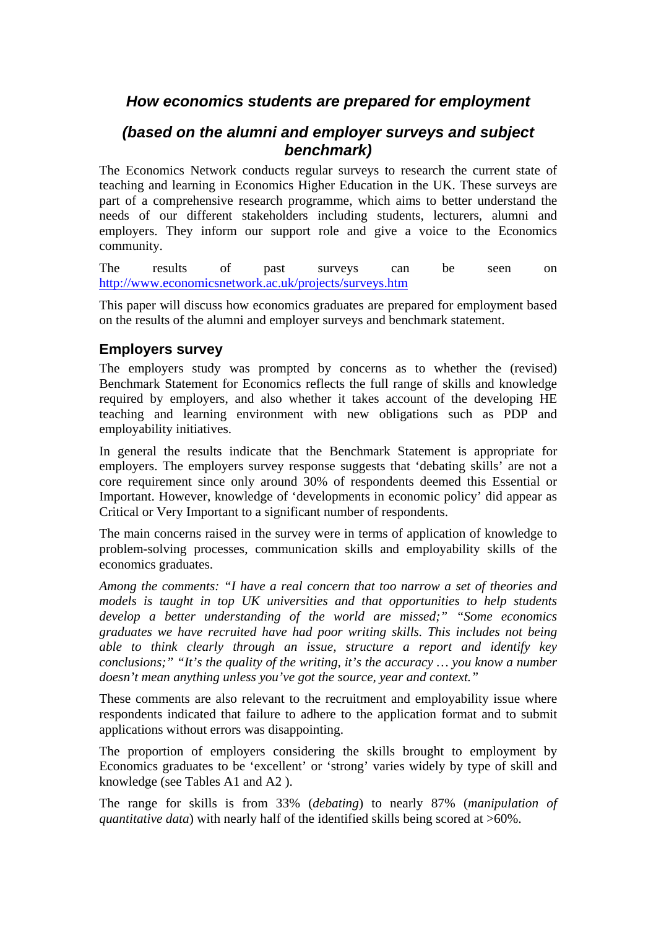# *How economics students are prepared for employment*

## *(based on the alumni and employer surveys and subject benchmark)*

The Economics Network conducts regular surveys to research the current state of teaching and learning in Economics Higher Education in the UK. These surveys are part of a comprehensive research programme, which aims to better understand the needs of our different stakeholders including students, lecturers, alumni and employers. They inform our support role and give a voice to the Economics community.

The results of past surveys can be seen on http://www.economicsnetwork.ac.uk/projects/surveys.htm

This paper will discuss how economics graduates are prepared for employment based on the results of the alumni and employer surveys and benchmark statement.

#### **Employers survey**

The employers study was prompted by concerns as to whether the (revised) Benchmark Statement for Economics reflects the full range of skills and knowledge required by employers, and also whether it takes account of the developing HE teaching and learning environment with new obligations such as PDP and employability initiatives.

In general the results indicate that the Benchmark Statement is appropriate for employers. The employers survey response suggests that 'debating skills' are not a core requirement since only around 30% of respondents deemed this Essential or Important. However, knowledge of 'developments in economic policy' did appear as Critical or Very Important to a significant number of respondents.

The main concerns raised in the survey were in terms of application of knowledge to problem-solving processes, communication skills and employability skills of the economics graduates.

*Among the comments: "I have a real concern that too narrow a set of theories and models is taught in top UK universities and that opportunities to help students develop a better understanding of the world are missed;" "Some economics graduates we have recruited have had poor writing skills. This includes not being able to think clearly through an issue, structure a report and identify key conclusions;" "It's the quality of the writing, it's the accuracy … you know a number doesn't mean anything unless you've got the source, year and context."* 

These comments are also relevant to the recruitment and employability issue where respondents indicated that failure to adhere to the application format and to submit applications without errors was disappointing.

The proportion of employers considering the skills brought to employment by Economics graduates to be 'excellent' or 'strong' varies widely by type of skill and knowledge (see Tables A1 and A2 ).

The range for skills is from 33% (*debating*) to nearly 87% (*manipulation of quantitative data*) with nearly half of the identified skills being scored at >60%.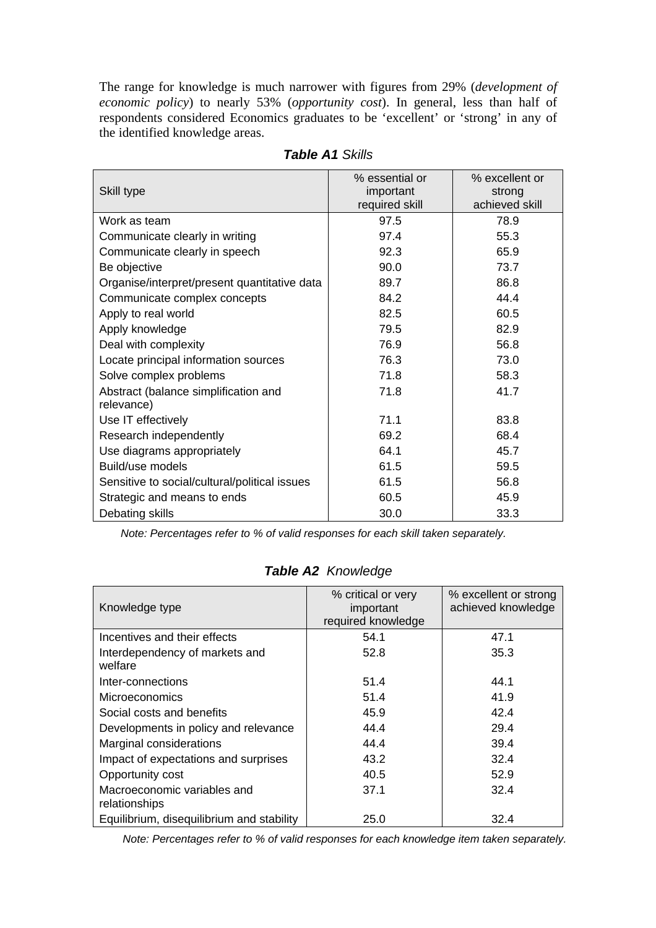The range for knowledge is much narrower with figures from 29% (*development of economic policy*) to nearly 53% (*opportunity cost*). In general, less than half of respondents considered Economics graduates to be 'excellent' or 'strong' in any of the identified knowledge areas.

| Skill type                                         | % essential or<br>important | % excellent or<br>strong |
|----------------------------------------------------|-----------------------------|--------------------------|
|                                                    | required skill              | achieved skill           |
| Work as team                                       | 97.5                        | 78.9                     |
| Communicate clearly in writing                     | 97.4                        | 55.3                     |
| Communicate clearly in speech                      | 92.3                        | 65.9                     |
| Be objective                                       | 90.0                        | 73.7                     |
| Organise/interpret/present quantitative data       | 89.7                        | 86.8                     |
| Communicate complex concepts                       | 84.2                        | 44.4                     |
| Apply to real world                                | 82.5                        | 60.5                     |
| Apply knowledge                                    | 79.5                        | 82.9                     |
| Deal with complexity                               | 76.9                        | 56.8                     |
| Locate principal information sources               | 76.3                        | 73.0                     |
| Solve complex problems                             | 71.8                        | 58.3                     |
| Abstract (balance simplification and<br>relevance) | 71.8                        | 41.7                     |
| Use IT effectively                                 | 71.1                        | 83.8                     |
| Research independently                             | 69.2                        | 68.4                     |
| Use diagrams appropriately                         | 64.1                        | 45.7                     |
| Build/use models                                   | 61.5                        | 59.5                     |
| Sensitive to social/cultural/political issues      | 61.5                        | 56.8                     |
| Strategic and means to ends                        | 60.5                        | 45.9                     |
| Debating skills                                    | 30.0                        | 33.3                     |

*Table A1 Skills* 

*Note: Percentages refer to % of valid responses for each skill taken separately.*

| Knowledge type                               | % critical or very<br>important<br>required knowledge | % excellent or strong<br>achieved knowledge |
|----------------------------------------------|-------------------------------------------------------|---------------------------------------------|
| Incentives and their effects                 | 54.1                                                  | 47.1                                        |
| Interdependency of markets and<br>welfare    | 52.8                                                  | 35.3                                        |
| Inter-connections                            | 51.4                                                  | 44.1                                        |
| <b>Microeconomics</b>                        | 51.4                                                  | 41.9                                        |
| Social costs and benefits                    | 45.9                                                  | 42.4                                        |
| Developments in policy and relevance         | 44.4                                                  | 29.4                                        |
| Marginal considerations                      | 44.4                                                  | 39.4                                        |
| Impact of expectations and surprises         | 43.2                                                  | 32.4                                        |
| Opportunity cost                             | 40.5                                                  | 52.9                                        |
| Macroeconomic variables and<br>relationships | 37.1                                                  | 32.4                                        |
| Equilibrium, disequilibrium and stability    | 25.0                                                  | 32.4                                        |

### *Table A2 Knowledge*

*Note: Percentages refer to % of valid responses for each knowledge item taken separately.*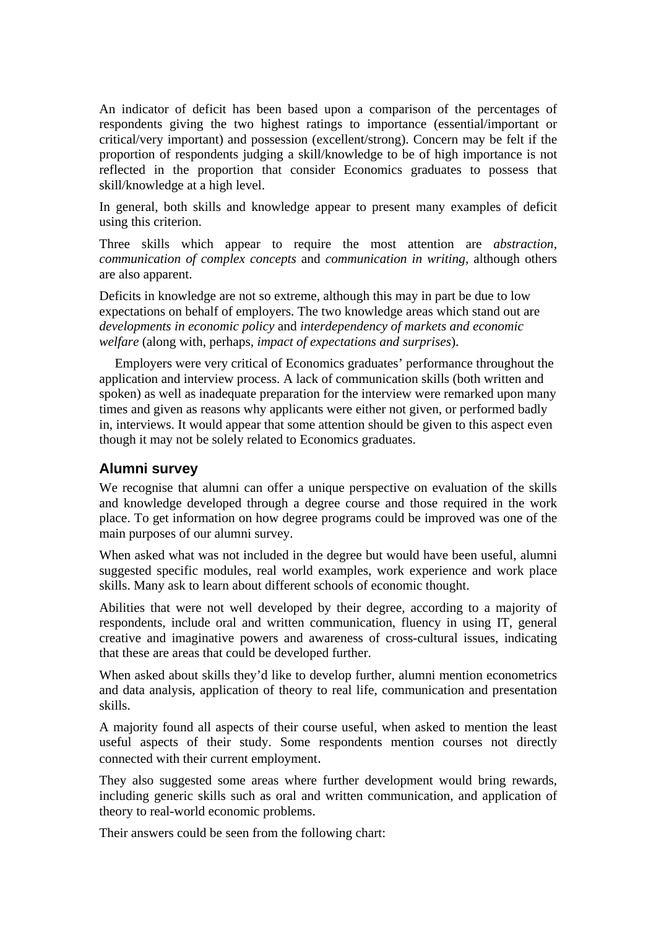An indicator of deficit has been based upon a comparison of the percentages of respondents giving the two highest ratings to importance (essential/important or critical/very important) and possession (excellent/strong). Concern may be felt if the proportion of respondents judging a skill/knowledge to be of high importance is not reflected in the proportion that consider Economics graduates to possess that skill/knowledge at a high level.

In general, both skills and knowledge appear to present many examples of deficit using this criterion.

Three skills which appear to require the most attention are *abstraction*, *communication of complex concepts* and *communication in writing*, although others are also apparent.

Deficits in knowledge are not so extreme, although this may in part be due to low expectations on behalf of employers. The two knowledge areas which stand out are *developments in economic policy* and *interdependency of markets and economic welfare* (along with, perhaps, *impact of expectations and surprises*).

Employers were very critical of Economics graduates' performance throughout the application and interview process. A lack of communication skills (both written and spoken) as well as inadequate preparation for the interview were remarked upon many times and given as reasons why applicants were either not given, or performed badly in, interviews. It would appear that some attention should be given to this aspect even though it may not be solely related to Economics graduates.

#### **Alumni survey**

We recognise that alumni can offer a unique perspective on evaluation of the skills and knowledge developed through a degree course and those required in the work place. To get information on how degree programs could be improved was one of the main purposes of our alumni survey.

When asked what was not included in the degree but would have been useful, alumni suggested specific modules, real world examples, work experience and work place skills. Many ask to learn about different schools of economic thought.

Abilities that were not well developed by their degree, according to a majority of respondents, include oral and written communication, fluency in using IT, general creative and imaginative powers and awareness of cross-cultural issues, indicating that these are areas that could be developed further.

When asked about skills they'd like to develop further, alumni mention econometrics and data analysis, application of theory to real life, communication and presentation skills.

A majority found all aspects of their course useful, when asked to mention the least useful aspects of their study. Some respondents mention courses not directly connected with their current employment.

They also suggested some areas where further development would bring rewards, including generic skills such as oral and written communication, and application of theory to real-world economic problems.

Their answers could be seen from the following chart: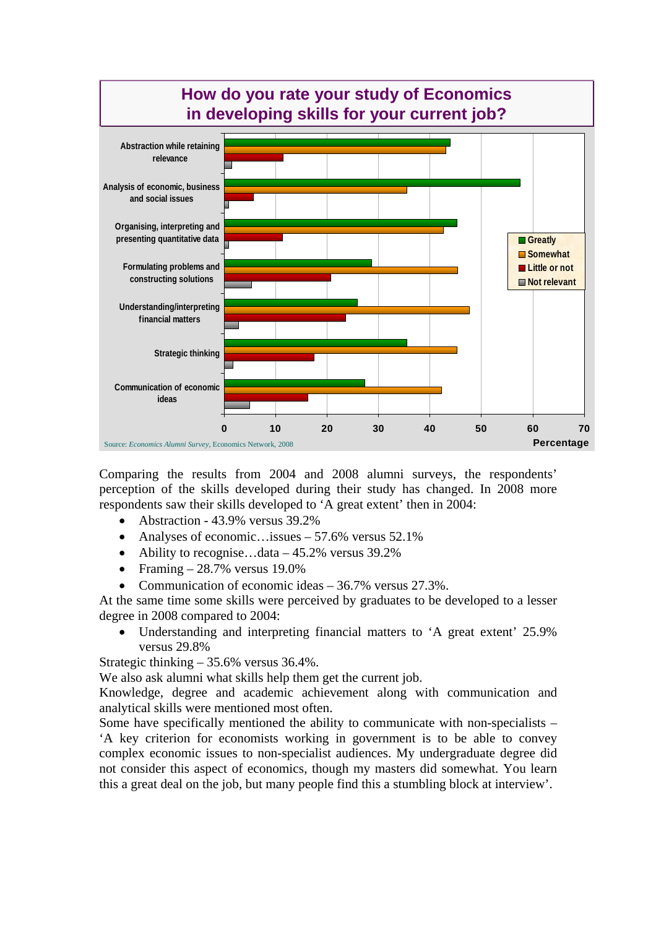

Comparing the results from 2004 and 2008 alumni surveys, the respondents' perception of the skills developed during their study has changed. In 2008 more respondents saw their skills developed to 'A great extent' then in 2004:

- Abstraction 43.9% versus 39.2%
- Analyses of economic…issues  $-57.6\%$  versus  $52.1\%$
- Ability to recognise...data  $-45.2\%$  versus 39.2%
- Framing  $-28.7\%$  versus 19.0%
- Communication of economic ideas 36.7% versus 27.3%.

At the same time some skills were perceived by graduates to be developed to a lesser degree in 2008 compared to 2004:

Understanding and interpreting financial matters to 'A great extent' 25.9% versus 29.8%

Strategic thinking – 35.6% versus 36.4%.

We also ask alumni what skills help them get the current job.

Knowledge, degree and academic achievement along with communication and analytical skills were mentioned most often.

Some have specifically mentioned the ability to communicate with non-specialists – 'A key criterion for economists working in government is to be able to convey complex economic issues to non-specialist audiences. My undergraduate degree did not consider this aspect of economics, though my masters did somewhat. You learn this a great deal on the job, but many people find this a stumbling block at interview'.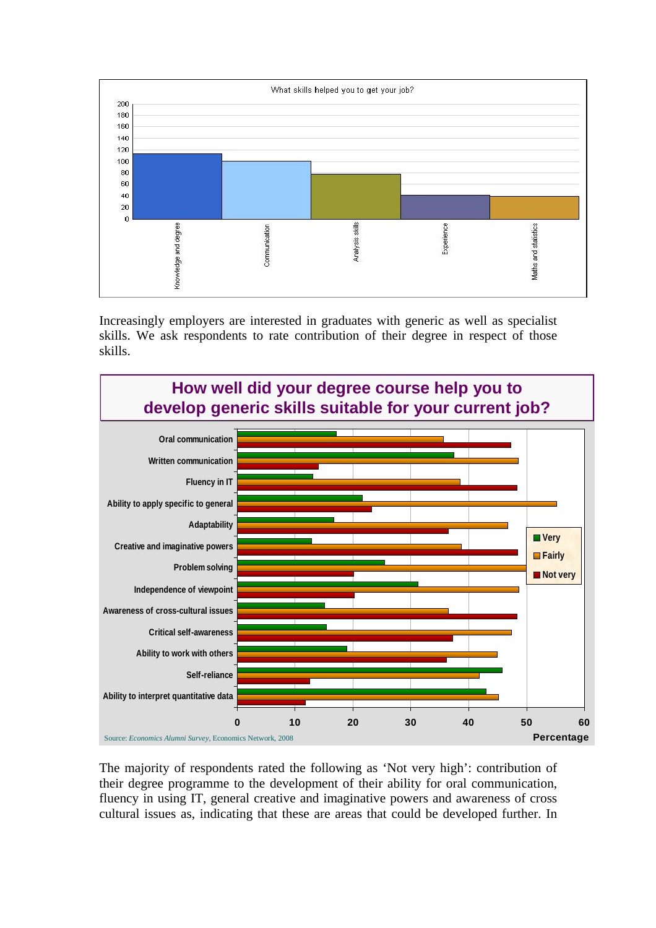

Increasingly employers are interested in graduates with generic as well as specialist skills. We ask respondents to rate contribution of their degree in respect of those skills.



The majority of respondents rated the following as 'Not very high': contribution of their degree programme to the development of their ability for oral communication, fluency in using IT, general creative and imaginative powers and awareness of cross cultural issues as, indicating that these are areas that could be developed further. In